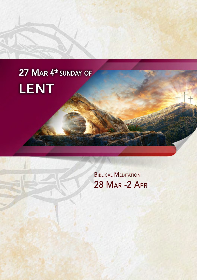# 27 MAR 4<sup>th</sup> SUNDAY OF LENT

**BIBLICAL MEDITATION** 28 Mar -2 Apr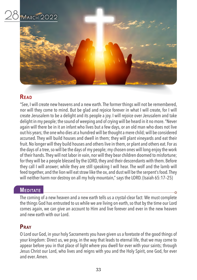

"See, I will create new heavens and a new earth. The former things will not be remembered, nor will they come to mind. But be glad and rejoice forever in what I will create, for I will create Jerusalem to be a delight and its people a joy. I will rejoice over Jerusalem and take delight in my people; the sound of weeping and of crying will be heard in it no more. "Never again will there be in it an infant who lives but a few days, or an old man who does not live out his years; the one who dies at a hundred will be thought a mere child; will be considered accursed. They will build houses and dwell in them; they will plant vineyards and eat their fruit. No longer will they build houses and others live in them, or plant and others eat. For as the days of a tree, so will be the days of my people; my chosen ones will long enjoy the work of their hands. They will not labor in vain, nor will they bear children doomed to misfortune; for they will be a people blessed by the LORD, they and their descendants with them. Before they call I will answer; while they are still speaking I will hear. The wolf and the lamb will feed together, and the lion will eat straw like the ox, and dust will be the serpent's food. They will neither harm nor destroy on all my holy mountain," says the LORD. (Isaiah 65:17–25)

## **MEDITATE**

The coming of a new heaven and a new earth tells us a crystal-clear fact: We must complete the things God has entrusted to us while we are living on earth, so that by the time our Lord comes again, we can give an account to Him and live forever and ever in the new heaven and new earth with our Lord.

# **Pray**

O Lord our God, in your holy Sacraments you have given us a foretaste of the good things of your kingdom: Direct us, we pray, in the way that leads to eternal life, that we may come to appear before you in that place of light where you dwell for ever with your saints; through Jesus Christ our Lord, who lives and reigns with you and the Holy Spirit, one God, for ever and ever. Amen.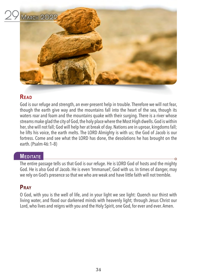

God is our refuge and strength, an ever-present help in trouble. Therefore we will not fear, though the earth give way and the mountains fall into the heart of the sea, though its waters roar and foam and the mountains quake with their surging. There is a river whose streams make glad the city of God, the holy place where the Most High dwells. God is within her, she will not fall; God will help her at break of day. Nations are in uproar, kingdoms fall; he lifts his voice, the earth melts. The LORD Almighty is with us; the God of Jacob is our fortress. Come and see what the LORD has done, the desolations he has brought on the earth. (Psalm 46:1–8)

#### **MEDITATE**

The entire passage tells us that God is our refuge. He is LORD God of hosts and the mighty God. He is also God of Jacob. He is even 'Immanuel', God with us. In times of danger, may we rely on God's presence so that we who are weak and have little faith will not tremble.

# **Pray**

O God, with you is the well of life, and in your light we see light: Quench our thirst with living water, and flood our darkened minds with heavenly light; through Jesus Christ our Lord, who lives and reigns with you and the Holy Spirit, one God, for ever and ever. Amen.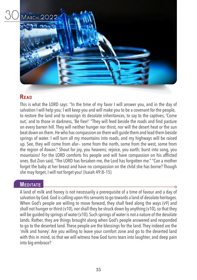

This is what the LORD says: "In the time of my favor I will answer you, and in the day of salvation I will help you; I will keep you and will make you to be a covenant for the people, to restore the land and to reassign its desolate inheritances, to say to the captives, 'Come out,' and to those in darkness, 'Be free!' "They will feed beside the roads and find pasture on every barren hill. They will neither hunger nor thirst, nor will the desert heat or the sun beat down on them. He who has compassion on them will guide them and lead them beside springs of water. I will turn all my mountains into roads, and my highways will be raised up. See, they will come from afar— some from the north, some from the west, some from the region of Aswan." Shout for joy, you heavens; rejoice, you earth; burst into song, you mountains! For the LORD comforts his people and will have compassion on his afflicted ones. But Zion said, "The LORD has forsaken me, the Lord has forgotten me." "Can a mother forget the baby at her breast and have no compassion on the child she has borne? Though she may forget, I will not forget you! (Isaiah 49:8–15)

## **MEDITATE**

A land of milk and honey is not necessarily a prerequisite of a time of favour and a day of salvation by God. God is calling upon His servants to go towards a land of desolate heritages. When God's people are willing to move forward, they shall feed along the ways (v9) and shall not hunger or thirst (v10), nor shall they be struck down by anything (v10), so that they will be guided by springs of water (v10). Such springs of water is not a nature of the desolate lands. Rather, they are things brought along when God's people answered and responded to go to the deserted land. These people are the blessings for the land. They indeed are the 'milk and honey'. Are you willing to leave your comfort zone and go to the deserted land with this in mind, so that we will witness how God turns tears into laughter, and deep pain into big embrace?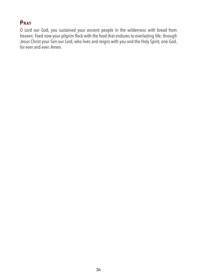# **Pray**

O Lord our God, you sustained your ancient people in the wilderness with bread from heaven: Feed now your pilgrim flock with the food that endures to everlasting life; through Jesus Christ your Son our Lord, who lives and reigns with you and the Holy Spirit, one God, for ever and ever. Amen.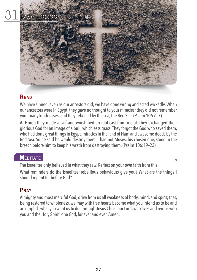

We have sinned, even as our ancestors did; we have done wrong and acted wickedly. When our ancestors were in Egypt, they gave no thought to your miracles; they did not remember your many kindnesses, and they rebelled by the sea, the Red Sea. (Psalm 106:6–7)

At Horeb they made a calf and worshiped an idol cast from metal. They exchanged their glorious God for an image of a bull, which eats grass. They forgot the God who saved them, who had done great things in Egypt, miracles in the land of Ham and awesome deeds by the Red Sea. So he said he would destroy them— had not Moses, his chosen one, stood in the breach before him to keep his wrath from destroying them. (Psalm 106:19–23)

## **MEDITATE**

The Israelites only believed in what they saw. Reflect on your own faith from this.

What reminders do the Israelites' rebellious behaviours give you? What are the things I should repent for before God?

# **Pray**

Almighty and most merciful God, drive from us all weakness of body, mind, and spirit; that, being restored to wholeness, we may with free hearts become what you intend us to be and accomplish what you want us to do; through Jesus Christ our Lord, who lives and reigns with you and the Holy Spirit, one God, for ever and ever. Amen.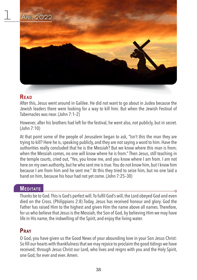

After this, Jesus went around in Galilee. He did not want to go about in Judea because the Jewish leaders there were looking for a way to kill him. But when the Jewish Festival of Tabernacles was near. (John 7:1–2)

However, after his brothers had left for the festival, he went also, not publicly, but in secret. (John 7:10)

At that point some of the people of Jerusalem began to ask, "Isn't this the man they are trying to kill? Here he is, speaking publicly, and they are not saying a word to him. Have the authorities really concluded that he is the Messiah? But we know where this man is from; when the Messiah comes, no one will know where he is from." Then Jesus, still teaching in the temple courts, cried out, "Yes, you know me, and you know where I am from. I am not here on my own authority, but he who sent me is true. You do not know him, but I know him because I am from him and he sent me." At this they tried to seize him, but no one laid a hand on him, because his hour had not yet come. (John 7:25–30)

#### **MEDITATE**

Thanks be to God. This is God's perfect will. To fulfil God's will, the Lord obeyed God and even died on the Cross. (Philippians 2:8) Today, Jesus has received honour and glory. God the Father has raised Him to the highest and given Him the name above all names. Therefore, for us who believe that Jesus is the Messiah, the Son of God, by believing Him we may have life in His name, the indwelling of the Spirit, and enjoy the living water.

# **Pray**

O God, you have given us the Good News of your abounding love in your Son Jesus Christ: So fill our hearts with thankfulness that we may rejoice to proclaim the good tidings we have received; through Jesus Christ our Lord, who lives and reigns with you and the Holy Spirit, one God, for ever and ever. Amen.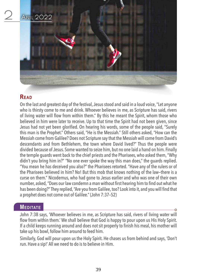

On the last and greatest day of the festival, Jesus stood and said in a loud voice, "Let anyone who is thirsty come to me and drink. Whoever believes in me, as Scripture has said, rivers of living water will flow from within them." By this he meant the Spirit, whom those who believed in him were later to receive. Up to that time the Spirit had not been given, since Jesus had not yet been glorified. On hearing his words, some of the people said, "Surely this man is the Prophet." Others said, "He is the Messiah." Still others asked, "How can the Messiah come from Galilee? Does not Scripture say that the Messiah will come from David's descendants and from Bethlehem, the town where David lived?" Thus the people were divided because of Jesus. Some wanted to seize him, but no one laid a hand on him. Finally the temple guards went back to the chief priests and the Pharisees, who asked them, "Why didn't you bring him in?" "No one ever spoke the way this man does," the guards replied. "You mean he has deceived you also?" the Pharisees retorted. "Have any of the rulers or of the Pharisees believed in him? No! But this mob that knows nothing of the law—there is a curse on them." Nicodemus, who had gone to Jesus earlier and who was one of their own number, asked, "Does our law condemn a man without first hearing him to find out what he has been doing?" They replied, "Are you from Galilee, too? Look into it, and you will find that a prophet does not come out of Galilee." (John 7:37–52)

#### **MEDITATE**

John 7:38 says, 'Whoever believes in me, as Scripture has said, rivers of living water will flow from within them.' We shall believe that God is happy to pour upon us His Holy Spirit. If a child keeps running around and does not sit properly to finish his meal, his mother will take up his bowl, follow him around to feed him.

Similarly, God will pour upon us the Holy Spirit. He chases us from behind and says, 'Don't run. Have a sip!' All we need to do is to believe in Him.